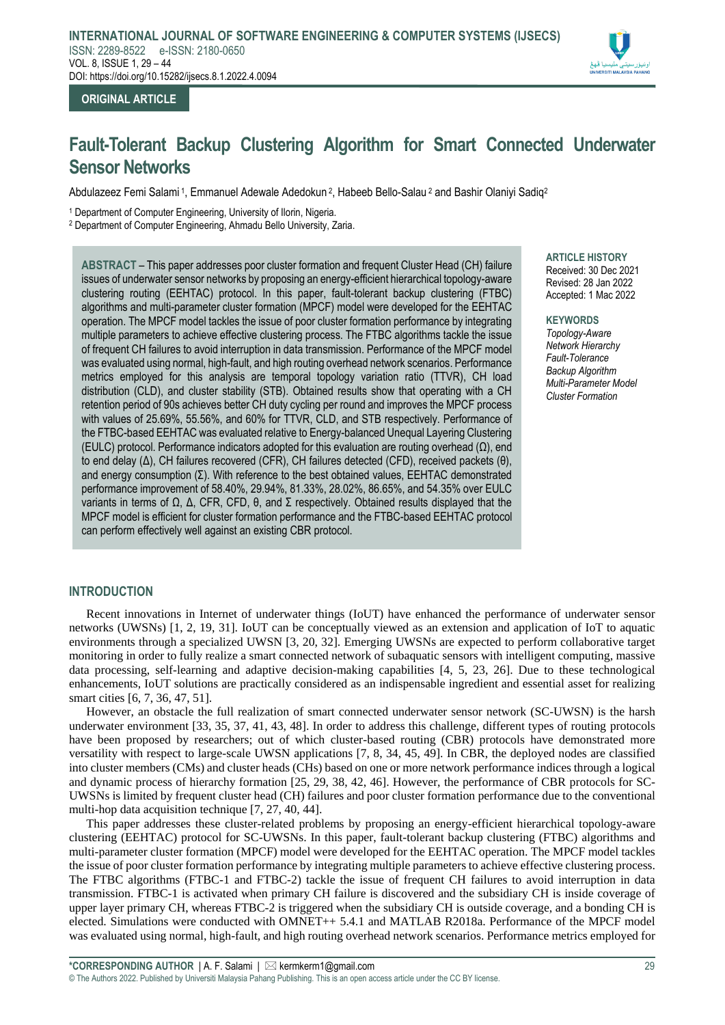

## **ORIGINAL ARTICLE**

# **Fault-Tolerant Backup Clustering Algorithm for Smart Connected Underwater Sensor Networks**

Abdulazeez Femi Salami 1, Emmanuel Adewale Adedokun <sup>2</sup>, Habeeb Bello-Salau <sup>2</sup> and Bashir Olaniyi Sadiq<sup>2</sup>

<sup>1</sup> Department of Computer Engineering, University of Ilorin, Nigeria.

<sup>2</sup> Department of Computer Engineering, Ahmadu Bello University, Zaria.

**ABSTRACT** – This paper addresses poor cluster formation and frequent Cluster Head (CH) failure issues of underwater sensor networks by proposing an energy-efficient hierarchical topology-aware clustering routing (EEHTAC) protocol. In this paper, fault-tolerant backup clustering (FTBC) algorithms and multi-parameter cluster formation (MPCF) model were developed for the EEHTAC operation. The MPCF model tackles the issue of poor cluster formation performance by integrating multiple parameters to achieve effective clustering process. The FTBC algorithms tackle the issue of frequent CH failures to avoid interruption in data transmission. Performance of the MPCF model was evaluated using normal, high-fault, and high routing overhead network scenarios. Performance metrics employed for this analysis are temporal topology variation ratio (TTVR), CH load distribution (CLD), and cluster stability (STB). Obtained results show that operating with a CH retention period of 90s achieves better CH duty cycling per round and improves the MPCF process with values of 25.69%, 55.56%, and 60% for TTVR, CLD, and STB respectively. Performance of the FTBC-based EEHTAC was evaluated relative to Energy-balanced Unequal Layering Clustering (EULC) protocol. Performance indicators adopted for this evaluation are routing overhead (Ω), end to end delay (Δ), CH failures recovered (CFR), CH failures detected (CFD), received packets (θ), and energy consumption  $(\Sigma)$ . With reference to the best obtained values, EEHTAC demonstrated performance improvement of 58.40%, 29.94%, 81.33%, 28.02%, 86.65%, and 54.35% over EULC variants in terms of Ω, Δ, CFR, CFD, θ, and Σ respectively. Obtained results displayed that the MPCF model is efficient for cluster formation performance and the FTBC-based EEHTAC protocol can perform effectively well against an existing CBR protocol.

**ARTICLE HISTORY** Received: 30 Dec 2021 Revised: 28 Jan 2022 Accepted: 1 Mac 2022

**KEYWORDS** *Topology-Aware Network Hierarchy Fault-Tolerance Backup Algorithm Multi-Parameter Model Cluster Formation*

## **INTRODUCTION**

Recent innovations in Internet of underwater things (IoUT) have enhanced the performance of underwater sensor networks (UWSNs) [1, 2, 19, 31]. IoUT can be conceptually viewed as an extension and application of IoT to aquatic environments through a specialized UWSN [3, 20, 32]. Emerging UWSNs are expected to perform collaborative target monitoring in order to fully realize a smart connected network of subaquatic sensors with intelligent computing, massive data processing, self-learning and adaptive decision-making capabilities [4, 5, 23, 26]. Due to these technological enhancements, IoUT solutions are practically considered as an indispensable ingredient and essential asset for realizing smart cities [6, 7, 36, 47, 51].

However, an obstacle the full realization of smart connected underwater sensor network (SC-UWSN) is the harsh underwater environment [33, 35, 37, 41, 43, 48]. In order to address this challenge, different types of routing protocols have been proposed by researchers; out of which cluster-based routing (CBR) protocols have demonstrated more versatility with respect to large-scale UWSN applications [7, 8, 34, 45, 49]. In CBR, the deployed nodes are classified into cluster members (CMs) and cluster heads (CHs) based on one or more network performance indices through a logical and dynamic process of hierarchy formation [25, 29, 38, 42, 46]. However, the performance of CBR protocols for SC-UWSNs is limited by frequent cluster head (CH) failures and poor cluster formation performance due to the conventional multi-hop data acquisition technique [7, 27, 40, 44].

This paper addresses these cluster-related problems by proposing an energy-efficient hierarchical topology-aware clustering (EEHTAC) protocol for SC-UWSNs. In this paper, fault-tolerant backup clustering (FTBC) algorithms and multi-parameter cluster formation (MPCF) model were developed for the EEHTAC operation. The MPCF model tackles the issue of poor cluster formation performance by integrating multiple parameters to achieve effective clustering process. The FTBC algorithms (FTBC-1 and FTBC-2) tackle the issue of frequent CH failures to avoid interruption in data transmission. FTBC-1 is activated when primary CH failure is discovered and the subsidiary CH is inside coverage of upper layer primary CH, whereas FTBC-2 is triggered when the subsidiary CH is outside coverage, and a bonding CH is elected. Simulations were conducted with OMNET++ 5.4.1 and MATLAB R2018a. Performance of the MPCF model was evaluated using normal, high-fault, and high routing overhead network scenarios. Performance metrics employed for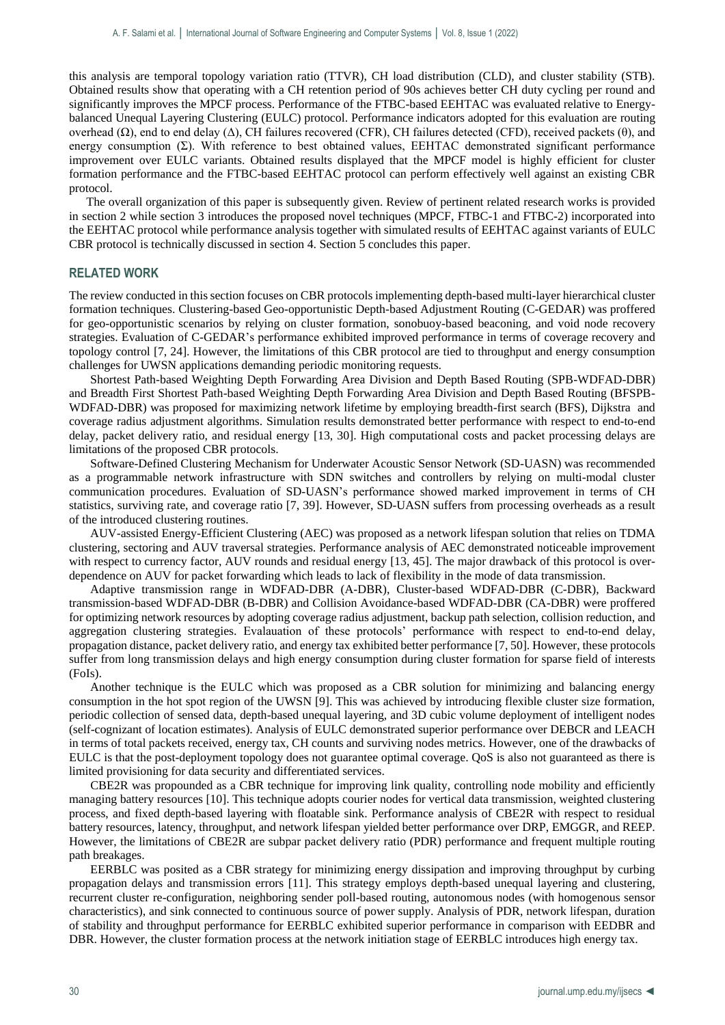this analysis are temporal topology variation ratio (TTVR), CH load distribution (CLD), and cluster stability (STB). Obtained results show that operating with a CH retention period of 90s achieves better CH duty cycling per round and significantly improves the MPCF process. Performance of the FTBC-based EEHTAC was evaluated relative to Energybalanced Unequal Layering Clustering (EULC) protocol. Performance indicators adopted for this evaluation are routing overhead (Ω), end to end delay (Δ), CH failures recovered (CFR), CH failures detected (CFD), received packets (θ), and energy consumption  $(\Sigma)$ . With reference to best obtained values, EEHTAC demonstrated significant performance improvement over EULC variants. Obtained results displayed that the MPCF model is highly efficient for cluster formation performance and the FTBC-based EEHTAC protocol can perform effectively well against an existing CBR protocol.

The overall organization of this paper is subsequently given. Review of pertinent related research works is provided in section 2 while section 3 introduces the proposed novel techniques (MPCF, FTBC-1 and FTBC-2) incorporated into the EEHTAC protocol while performance analysis together with simulated results of EEHTAC against variants of EULC CBR protocol is technically discussed in section 4. Section 5 concludes this paper.

## **RELATED WORK**

The review conducted in this section focuses on CBR protocols implementing depth-based multi-layer hierarchical cluster formation techniques. Clustering-based Geo-opportunistic Depth-based Adjustment Routing (C-GEDAR) was proffered for geo-opportunistic scenarios by relying on cluster formation, sonobuoy-based beaconing, and void node recovery strategies. Evaluation of C-GEDAR's performance exhibited improved performance in terms of coverage recovery and topology control [7, 24]. However, the limitations of this CBR protocol are tied to throughput and energy consumption challenges for UWSN applications demanding periodic monitoring requests.

 Shortest Path-based Weighting Depth Forwarding Area Division and Depth Based Routing (SPB-WDFAD-DBR) and Breadth First Shortest Path-based Weighting Depth Forwarding Area Division and Depth Based Routing (BFSPB-WDFAD-DBR) was proposed for maximizing network lifetime by employing breadth-first search (BFS), Dijkstra and coverage radius adjustment algorithms. Simulation results demonstrated better performance with respect to end-to-end delay, packet delivery ratio, and residual energy [13, 30]. High computational costs and packet processing delays are limitations of the proposed CBR protocols.

 Software-Defined Clustering Mechanism for Underwater Acoustic Sensor Network (SD-UASN) was recommended as a programmable network infrastructure with SDN switches and controllers by relying on multi-modal cluster communication procedures. Evaluation of SD-UASN's performance showed marked improvement in terms of CH statistics, surviving rate, and coverage ratio [7, 39]. However, SD-UASN suffers from processing overheads as a result of the introduced clustering routines.

 AUV-assisted Energy-Efficient Clustering (AEC) was proposed as a network lifespan solution that relies on TDMA clustering, sectoring and AUV traversal strategies. Performance analysis of AEC demonstrated noticeable improvement with respect to currency factor, AUV rounds and residual energy [13, 45]. The major drawback of this protocol is overdependence on AUV for packet forwarding which leads to lack of flexibility in the mode of data transmission.

 Adaptive transmission range in WDFAD-DBR (A-DBR), Cluster-based WDFAD-DBR (C-DBR), Backward transmission-based WDFAD-DBR (B-DBR) and Collision Avoidance-based WDFAD-DBR (CA-DBR) were proffered for optimizing network resources by adopting coverage radius adjustment, backup path selection, collision reduction, and aggregation clustering strategies. Evalauation of these protocols' performance with respect to end-to-end delay, propagation distance, packet delivery ratio, and energy tax exhibited better performance [7, 50]. However, these protocols suffer from long transmission delays and high energy consumption during cluster formation for sparse field of interests (FoIs).

 Another technique is the EULC which was proposed as a CBR solution for minimizing and balancing energy consumption in the hot spot region of the UWSN [9]. This was achieved by introducing flexible cluster size formation, periodic collection of sensed data, depth-based unequal layering, and 3D cubic volume deployment of intelligent nodes (self-cognizant of location estimates). Analysis of EULC demonstrated superior performance over DEBCR and LEACH in terms of total packets received, energy tax, CH counts and surviving nodes metrics. However, one of the drawbacks of EULC is that the post-deployment topology does not guarantee optimal coverage. QoS is also not guaranteed as there is limited provisioning for data security and differentiated services.

 CBE2R was propounded as a CBR technique for improving link quality, controlling node mobility and efficiently managing battery resources [10]. This technique adopts courier nodes for vertical data transmission, weighted clustering process, and fixed depth-based layering with floatable sink. Performance analysis of CBE2R with respect to residual battery resources, latency, throughput, and network lifespan yielded better performance over DRP, EMGGR, and REEP. However, the limitations of CBE2R are subpar packet delivery ratio (PDR) performance and frequent multiple routing path breakages.

 EERBLC was posited as a CBR strategy for minimizing energy dissipation and improving throughput by curbing propagation delays and transmission errors [11]. This strategy employs depth-based unequal layering and clustering, recurrent cluster re-configuration, neighboring sender poll-based routing, autonomous nodes (with homogenous sensor characteristics), and sink connected to continuous source of power supply. Analysis of PDR, network lifespan, duration of stability and throughput performance for EERBLC exhibited superior performance in comparison with EEDBR and DBR. However, the cluster formation process at the network initiation stage of EERBLC introduces high energy tax.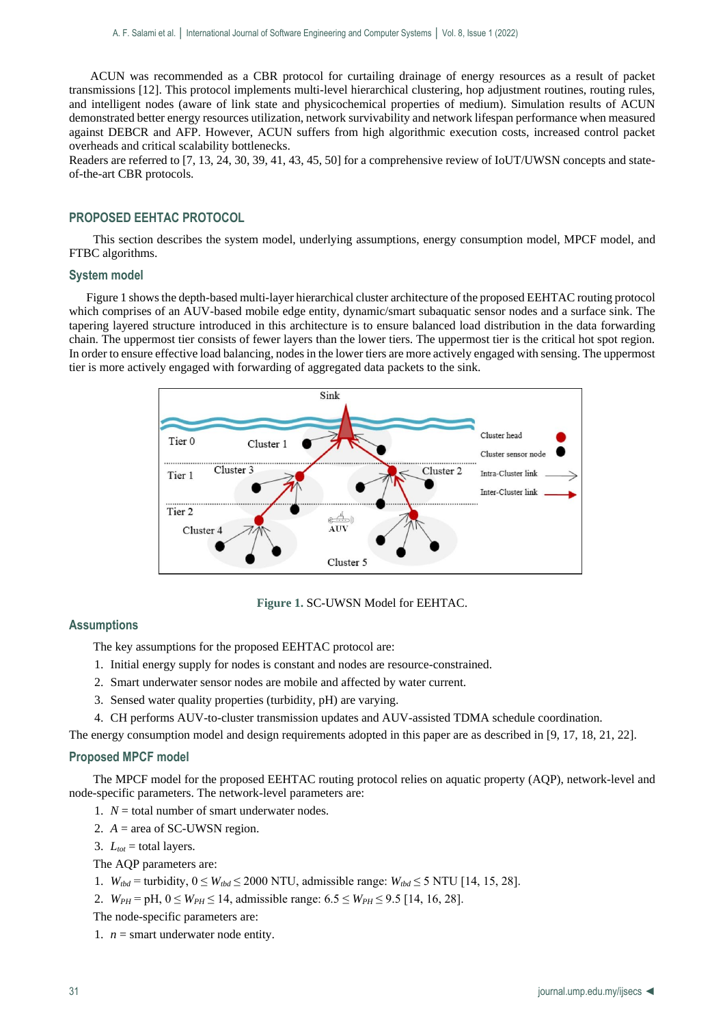ACUN was recommended as a CBR protocol for curtailing drainage of energy resources as a result of packet transmissions [12]. This protocol implements multi-level hierarchical clustering, hop adjustment routines, routing rules, and intelligent nodes (aware of link state and physicochemical properties of medium). Simulation results of ACUN demonstrated better energy resources utilization, network survivability and network lifespan performance when measured against DEBCR and AFP. However, ACUN suffers from high algorithmic execution costs, increased control packet overheads and critical scalability bottlenecks.

Readers are referred to [7, 13, 24, 30, 39, 41, 43, 45, 50] for a comprehensive review of IoUT/UWSN concepts and stateof-the-art CBR protocols.

## **PROPOSED EEHTAC PROTOCOL**

This section describes the system model, underlying assumptions, energy consumption model, MPCF model, and FTBC algorithms.

## **System model**

Figure 1 shows the depth-based multi-layer hierarchical cluster architecture of the proposed EEHTAC routing protocol which comprises of an AUV-based mobile edge entity, dynamic/smart subaquatic sensor nodes and a surface sink. The tapering layered structure introduced in this architecture is to ensure balanced load distribution in the data forwarding chain. The uppermost tier consists of fewer layers than the lower tiers. The uppermost tier is the critical hot spot region. In order to ensure effective load balancing, nodes in the lower tiers are more actively engaged with sensing. The uppermost tier is more actively engaged with forwarding of aggregated data packets to the sink.



#### **Figure 1.** SC-UWSN Model for EEHTAC.

## **Assumptions**

The key assumptions for the proposed EEHTAC protocol are:

- 1. Initial energy supply for nodes is constant and nodes are resource-constrained.
- 2. Smart underwater sensor nodes are mobile and affected by water current.
- 3. Sensed water quality properties (turbidity, pH) are varying.
- 4. CH performs AUV-to-cluster transmission updates and AUV-assisted TDMA schedule coordination.

The energy consumption model and design requirements adopted in this paper are as described in [9, 17, 18, 21, 22].

#### **Proposed MPCF model**

The MPCF model for the proposed EEHTAC routing protocol relies on aquatic property (AQP), network-level and node-specific parameters. The network-level parameters are:

- 1.  $N =$  total number of smart underwater nodes.
- 2.  $A = \text{area of SC-UWSN region}$ .
- 3.  $L_{tot}$  = total layers.

The AQP parameters are:

- 1.  $W_{\text{tbd}} = \text{turbidity}, 0 \leq W_{\text{tbd}} \leq 2000 \text{ NTU}, \text{admissible range: } W_{\text{tbd}} \leq 5 \text{ NTU} [14, 15, 28].$
- 2.  $W_{PH} = pH$ ,  $0 \leq W_{PH} \leq 14$ , admissible range:  $6.5 \leq W_{PH} \leq 9.5$  [14, 16, 28].
- The node-specific parameters are:

1.  $n =$  smart underwater node entity.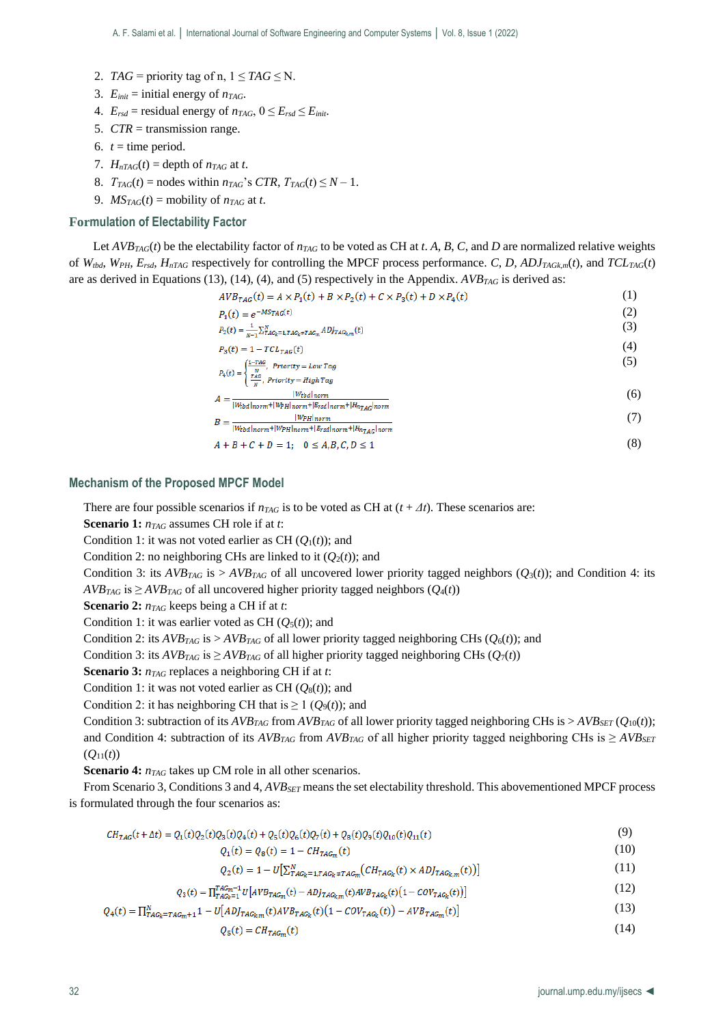- 2. *TAG* = priority tag of n,  $1 \leq TAG \leq N$ .
- 3.  $E_{init} = \text{initial energy of } n_{TAG}$ .
- 4.  $E_{rsd}$  = residual energy of  $n_{TAG}$ ,  $0 \le E_{rsd} \le E_{init}$ .
- 5. *CTR* = transmission range.
- 6.  $t =$  time period.
- 7.  $H_{nTAG}(t) = \text{depth of } n_{TAG} \text{ at } t.$
- 8.  $T_{TAG}(t) =$  nodes within  $n_{TAG}$ 's *CTR*,  $T_{TAG}(t) \leq N 1$ .
- 9.  $MS_{TAG}(t) =$  mobility of  $n_{TAG}$  at *t*.

## **Formulation of Electability Factor**

Let  $AVB_{TAG}(t)$  be the electability factor of  $n_{TAG}$  to be voted as CH at *t*. *A*, *B*, *C*, and *D* are normalized relative weights of  $W_{thd}$ ,  $W_{PH}$ ,  $E_{rsd}$ ,  $H_{nTAG}$  respectively for controlling the MPCF process performance. *C*, *D*,  $ADJ_{TAGkm}(t)$ , and  $TCL_{TAG}(t)$ are as derived in Equations (13), (14), (4), and (5) respectively in the Appendix. *AVBTAG* is derived as:

$$
AVB_{TAG}(t) = A \times P_1(t) + B \times P_2(t) + C \times P_3(t) + D \times P_4(t)
$$
\n
$$
\tag{1}
$$

$$
P_1(t) = e^{-MS}IAG(t)
$$
\n<sup>(2)</sup>

$$
P_2(t) = \frac{1}{N-1} \sum_{T}^{N} \sum_{G_K = 1, TAG_K + TAG_K}^{N} ADJ_{TAG_K, m}(t)
$$
\n(3)

$$
P_3(t) = 1 - TCL_{TAG}(t) \tag{4}
$$

$$
P_4(t) = \begin{cases} \frac{1 - 7AC}{N}, & \text{Priority} = Low Tag\\ \frac{7AC}{N}, & \text{Priority} = High Tag \end{cases} \tag{5}
$$

$$
4 = \frac{|W_{total}|_{norm}}{|W_{total}|_{norm} + |W_{PI}|_{norm} + |E_{rad}|_{norm}} \tag{6}
$$

$$
B = \frac{|W_{PH}|_{norm}}{|W_{total}|\text{norm} + |W_{PH}|_{norm} + |F_{rad}|_{norm} + |H_{n_{TAG}}|_{norm}}\tag{7}
$$

$$
4 + B + C + D = 1; \quad 0 \le A, B, C, D \le 1
$$
 (8)

## **Mechanism of the Proposed MPCF Model**

There are four possible scenarios if  $n_{TAG}$  is to be voted as CH at  $(t + \Delta t)$ . These scenarios are:

**Scenario 1:** *nTAG* assumes CH role if at *t*:

Condition 1: it was not voted earlier as CH  $(O_1(t))$ ; and

Condition 2: no neighboring CHs are linked to it  $(Q_2(t))$ ; and

Condition 3: its  $AVB_{TAG}$  is  $> AVB_{TAG}$  of all uncovered lower priority tagged neighbors ( $Q_3(t)$ ); and Condition 4: its  $AVB_{TAG}$  is  $\geq AVB_{TAG}$  of all uncovered higher priority tagged neighbors ( $Q_4(t)$ )

**Scenario 2:** *nTAG* keeps being a CH if at *t*:

Condition 1: it was earlier voted as CH  $(Q_5(t))$ ; and

Condition 2: its  $AVB_{TAG}$  is  $> AVB_{TAG}$  of all lower priority tagged neighboring CHs ( $O_6(t)$ ); and

Condition 3: its *AVB*<sub>*TAG*</sub> is  $\geq$  *AVB*<sub>*TAG*</sub> of all higher priority tagged neighboring CHs ( $Q_7(t)$ )

**Scenario 3:** *nTAG* replaces a neighboring CH if at *t*:

Condition 1: it was not voted earlier as CH  $(Q_8(t))$ ; and

Condition 2: it has neighboring CH that is  $\geq 1$  ( $Q_9(t)$ ); and

Condition 3: subtraction of its  $AVB_{TAG}$  from  $AVB_{TAG}$  of all lower priority tagged neighboring CHs is  $> AVB_{SET}(Q_{10}(t))$ ; and Condition 4: subtraction of its  $AVB_{TAG}$  from  $AVB_{TAG}$  of all higher priority tagged neighboring CHs is  $\geq AVB_{SET}$  $(O_{11}(t))$ 

**Scenario 4:**  $n_{TAG}$  takes up CM role in all other scenarios.

From Scenario 3, Conditions 3 and 4, *AVBSET* means the set electability threshold. This abovementioned MPCF process is formulated through the four scenarios as:

$$
CH_{TAG}(t + \Delta t) = Q_1(t)Q_2(t)Q_3(t)Q_4(t) + Q_5(t)Q_6(t)Q_7(t) + Q_8(t)Q_9(t)Q_{10}(t)Q_{11}(t)
$$
\n(9)

 $Q_1(t) = Q_8(t) = 1 - CH_{TAG_m}(t)$ (10)

 $Q_2(t) = 1 - U \big[ \sum_{TAG_k=1, TAG_k \pm TAG_m}^{N} \big( CH_{TAG_k}(t) \times ADJ_{TAG_k,m}(t) \big) \big]$ (11)

$$
Q_3(t) = \Pi_{TAG_2=1}^{TAG_m=1} U[AVB_{TAG_m}(t) - ADJ_{TAG_{k,m}}(t)AVB_{TAG_k}(t)(1 - COV_{TAG_k}(t))]
$$
\n(12)

$$
Q_4(t) = \prod_{TAG_k = TAG_m + 1}^{N} 1 - U[AD_{TAG_k,m}(t)AVB_{TAG_k}(t)(1 - COV_{TAG_k}(t)) - AVB_{TAG_m}(t)]
$$
\n(13)

$$
Q_{5}(t) = CH_{TAG_{m}}(t) \tag{14}
$$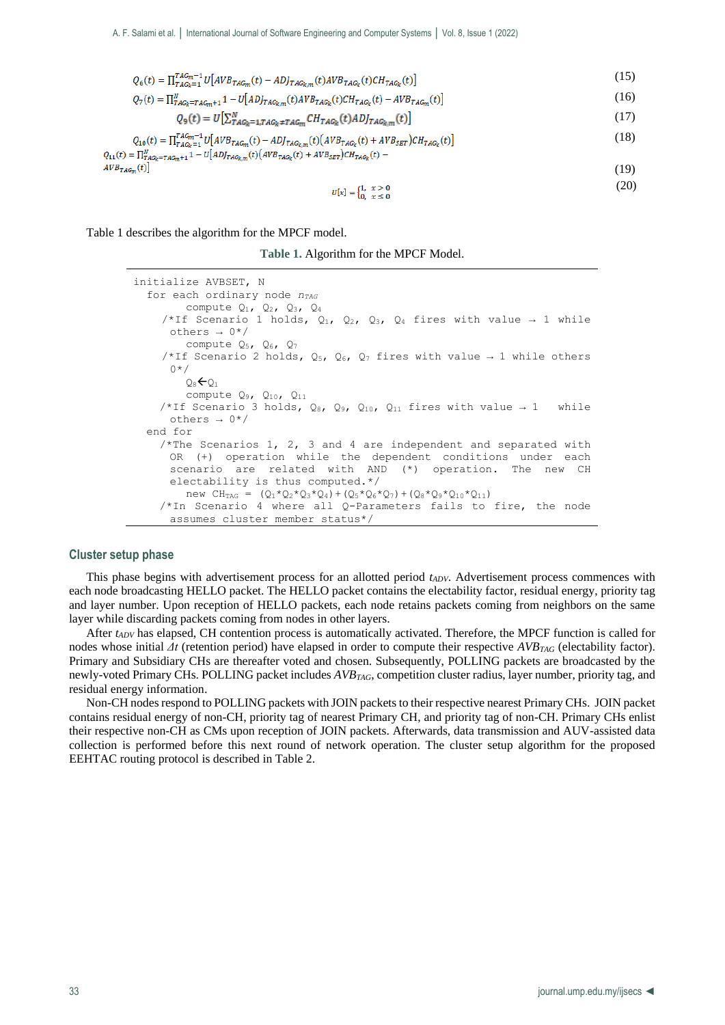$$
Q_6(t) = \prod_{TAG_k=1}^{TAG_m-1} U[AVB_{TAG_m}(t) - ADJ_{TAG_k,m}(t)AVB_{TAG_k}(t)CH_{TAG_k}(t)]
$$
\n(15)

$$
Q_7(t) = \prod_{T A G_k = T A G_m + 1}^{N} 1 - U[AD]_{T A G_k, m}(t) A V B_{T A G_k}(t) C H_{T A G_k}(t) - A V B_{T A G_m}(t)]
$$
\n(16)

$$
Q_9(t) = U\left[\sum_{TAG_k=1, TAG_k+TAG_m}^{N} CH_{TAG_k}(t) ADJ_{TAG_{k,m}}(t)\right]
$$
\n(17)

$$
Q_{10}(t) = \prod_{T A G_N = 1}^{T A G_m - 1} U[AV B_{T A G_m}(t) - A D J_{T A G_k}(t) (A V B_{T A G_k}(t) + A V B_{S E T}) C H_{T A G_k}(t)]
$$
\n(18)

$$
Q_{11}(t) = \Pi_{TAG_R = TAG_m+1}^N 1 - U[AD_{TAG_{k,m}}(t)(AVB_{TAG_k}(t) + AVB_{SET})CH_{TAG_k}(t) - AVB_{TAG_m}(t)]
$$
\n
$$
(19)
$$

$$
U[x] = \begin{cases} 1, & x > 0 \\ 0, & x \le 0 \end{cases}
$$
 (20)

Table 1 describes the algorithm for the MPCF model.

**Table 1.** Algorithm for the MPCF Model.

```
initialize AVBSET, N
   for each ordinary node nTAG
         compute Q_1, Q_2, Q_3, Q_4/*If Scenario 1 holds, Q_1, Q_2, Q_3, Q_4 fires with value \rightarrow 1 while
      others \rightarrow 0*/compute Q_5, Q_6, Q_7/*If Scenario 2 holds, Q_5, Q_6, Q_7 fires with value → 1 while others
      0*/Q_8\leftarrowQ_1 compute Q9, Q10, Q11
    /*If Scenario 3 holds, Q_8, Q_9, Q_{10}, Q_{11} fires with value \rightarrow 1 while
      others \rightarrow 0*/ end for
    /*The Scenarios 1, 2, 3 and 4 are independent and separated withOR (+) operation while the dependent conditions under each 
      scenario are related with AND (*) operation. The new CH 
      electability is thus computed.*/
         \text{new CH}_{\text{TAG}} = (Q_1 \star Q_2 \star Q_3 \star Q_4) + (Q_5 \star Q_6 \star Q_7) + (Q_8 \star Q_9 \star Q_{10} \star Q_{11}) /*In Scenario 4 where all Q-Parameters fails to fire, the node 
      assumes cluster member status*/
```
## **Cluster setup phase**

This phase begins with advertisement process for an allotted period *tADV*. Advertisement process commences with each node broadcasting HELLO packet. The HELLO packet contains the electability factor, residual energy, priority tag and layer number. Upon reception of HELLO packets, each node retains packets coming from neighbors on the same layer while discarding packets coming from nodes in other layers.

After *tADV* has elapsed, CH contention process is automatically activated. Therefore, the MPCF function is called for nodes whose initial *Δt* (retention period) have elapsed in order to compute their respective *AVBTAG* (electability factor). Primary and Subsidiary CHs are thereafter voted and chosen. Subsequently, POLLING packets are broadcasted by the newly-voted Primary CHs. POLLING packet includes *AVBTAG*, competition cluster radius, layer number, priority tag, and residual energy information.

Non-CH nodes respond to POLLING packets with JOIN packets to their respective nearest Primary CHs. JOIN packet contains residual energy of non-CH, priority tag of nearest Primary CH, and priority tag of non-CH. Primary CHs enlist their respective non-CH as CMs upon reception of JOIN packets. Afterwards, data transmission and AUV-assisted data collection is performed before this next round of network operation. The cluster setup algorithm for the proposed EEHTAC routing protocol is described in Table 2.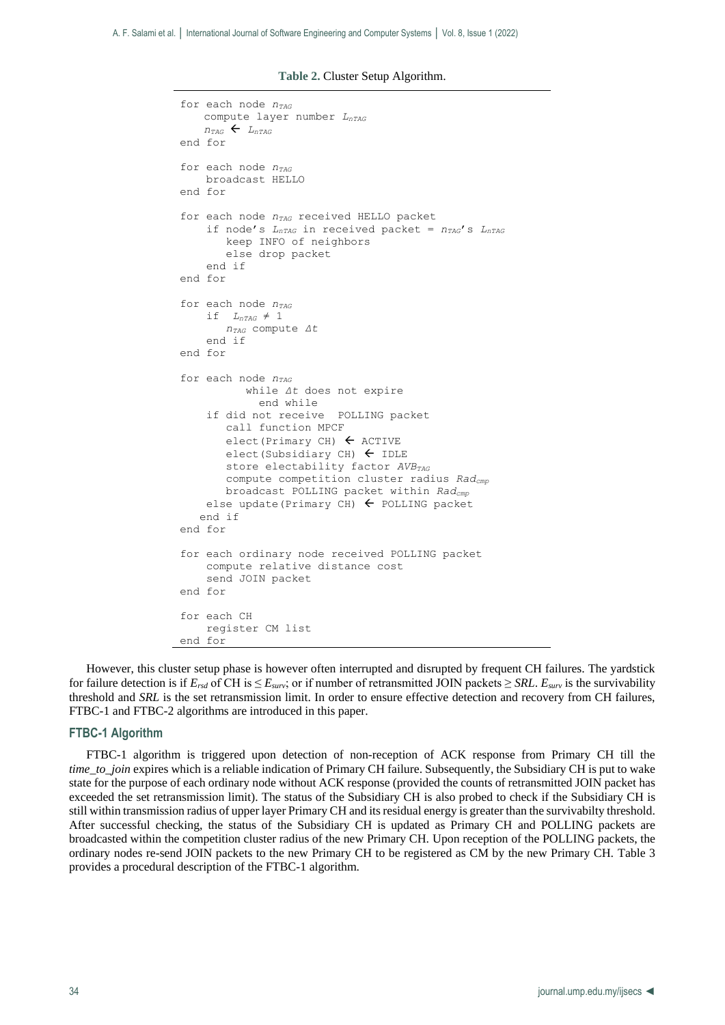**Table 2.** Cluster Setup Algorithm.

```
for each node nTAG
   compute layer number LnTAG
    n_{\text{TAG}} \leftarrow L_{\text{nTAG}}end for
for each node nTAG
     broadcast HELLO
end for
for each node nTAG received HELLO packet
     if node's LnTAG in received packet = nTAG's LnTAG
        keep INFO of neighbors
        else drop packet
     end if
end for
for each node nTAG
    if L_{nTAG} \neq 1 nTAG compute Δt
     end if
end for
for each node nTAG
            while Δt does not expire
              end while
     if did not receive POLLING packet
        call function MPCF
       elect (Primary CH) \leftarrow ACTIVE
       elect(Subsidiary CH) \leftarrow IDLE
        store electability factor AVBTAG
        compute competition cluster radius Radcmp
        broadcast POLLING packet within Radcmp
    else update(Primary CH) \leftarrow POLLING packet
    end if
end for
for each ordinary node received POLLING packet
     compute relative distance cost
     send JOIN packet
end for
for each CH
     register CM list
end for
```
However, this cluster setup phase is however often interrupted and disrupted by frequent CH failures. The yardstick for failure detection is if  $E_{rsd}$  of CH is  $\leq E_{surv}$ ; or if number of retransmitted JOIN packets  $\geq SRL$ .  $E_{surv}$  is the survivability threshold and *SRL* is the set retransmission limit. In order to ensure effective detection and recovery from CH failures, FTBC-1 and FTBC-2 algorithms are introduced in this paper.

### **FTBC-1 Algorithm**

FTBC-1 algorithm is triggered upon detection of non-reception of ACK response from Primary CH till the *time\_to\_join* expires which is a reliable indication of Primary CH failure. Subsequently, the Subsidiary CH is put to wake state for the purpose of each ordinary node without ACK response (provided the counts of retransmitted JOIN packet has exceeded the set retransmission limit). The status of the Subsidiary CH is also probed to check if the Subsidiary CH is still within transmission radius of upper layer Primary CH and its residual energy is greater than the survivabilty threshold. After successful checking, the status of the Subsidiary CH is updated as Primary CH and POLLING packets are broadcasted within the competition cluster radius of the new Primary CH. Upon reception of the POLLING packets, the ordinary nodes re-send JOIN packets to the new Primary CH to be registered as CM by the new Primary CH. Table 3 provides a procedural description of the FTBC-1 algorithm.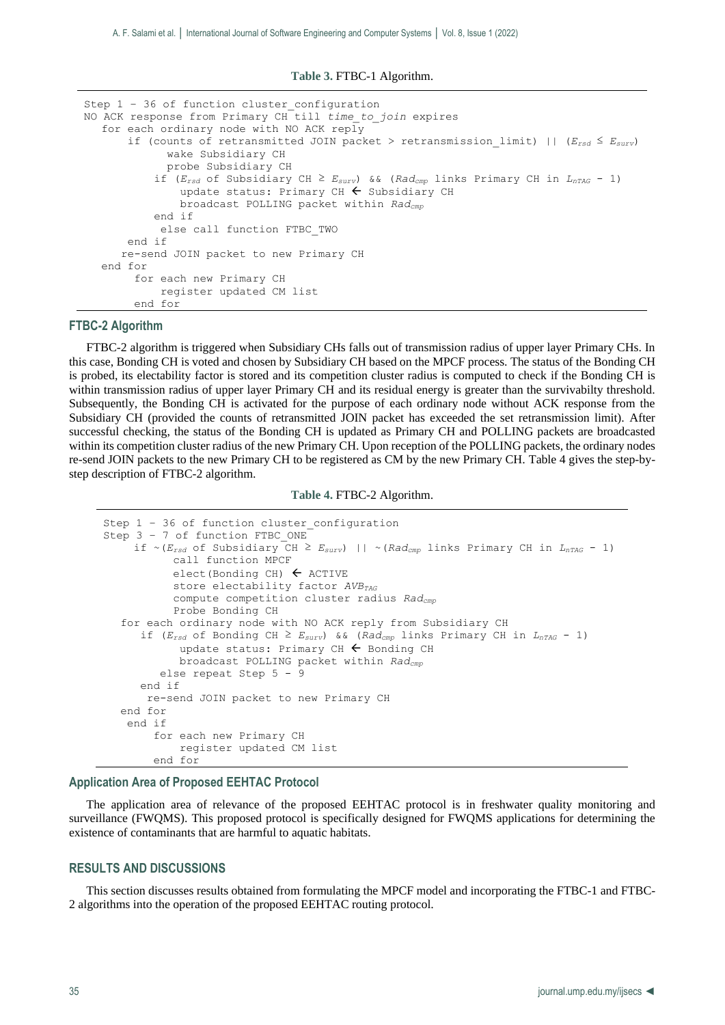**Table 3.** FTBC-1 Algorithm.

```
Step 1 - 36 of function cluster configuration
NO ACK response from Primary CH till time_to_join expires
   for each ordinary node with NO ACK reply
        if (counts of retransmitted JOIN packet > retransmission_limit) || (Ersd ≤ Esurv)
              wake Subsidiary CH
              probe Subsidiary CH
            if (Ersd of Subsidiary CH ≥ Esurv) && (Radcmp links Primary CH in LnTAG - 1)
               update status: Primary CH \leftarrow Subsidiary CH
                broadcast POLLING packet within Radcmp
            end if
             else call function FTBC_TWO
        end if
       re-send JOIN packet to new Primary CH
   end for
         for each new Primary CH
             register updated CM list
         end for
```
### **FTBC-2 Algorithm**

FTBC-2 algorithm is triggered when Subsidiary CHs falls out of transmission radius of upper layer Primary CHs. In this case, Bonding CH is voted and chosen by Subsidiary CH based on the MPCF process. The status of the Bonding CH is probed, its electability factor is stored and its competition cluster radius is computed to check if the Bonding CH is within transmission radius of upper layer Primary CH and its residual energy is greater than the survivabilty threshold. Subsequently, the Bonding CH is activated for the purpose of each ordinary node without ACK response from the Subsidiary CH (provided the counts of retransmitted JOIN packet has exceeded the set retransmission limit). After successful checking, the status of the Bonding CH is updated as Primary CH and POLLING packets are broadcasted within its competition cluster radius of the new Primary CH. Upon reception of the POLLING packets, the ordinary nodes re-send JOIN packets to the new Primary CH to be registered as CM by the new Primary CH. Table 4 gives the step-bystep description of FTBC-2 algorithm.

**Table 4.** FTBC-2 Algorithm.

```
Step 1 - 36 of function cluster configuration
Step 3 - 7 of function FTBC ONE
      if ~(Ersd of Subsidiary CH ≥ Esurv) || ~(Radcmp links Primary CH in LnTAG - 1)
            call function MPCF
            elect(Bonding CH) \leftarrow ACTIVE
             store electability factor AVBTAG
            compute competition cluster radius Radcmp
            Probe Bonding CH
   for each ordinary node with NO ACK reply from Subsidiary CH
      if (E_{rsd} of Bonding CH \geq E_{surv}) && (Rad<sub>cmp</sub> links Primary CH in L_{nTAG} - 1)
             update status: Primary CH \leftarrow Bonding CH
              broadcast POLLING packet within Radcmp
          else repeat Step 5 - 9 
       end if
        re-send JOIN packet to new Primary CH
   end for
    end if
         for each new Primary CH
             register updated CM list
         end for
```
#### **Application Area of Proposed EEHTAC Protocol**

The application area of relevance of the proposed EEHTAC protocol is in freshwater quality monitoring and surveillance (FWQMS). This proposed protocol is specifically designed for FWQMS applications for determining the existence of contaminants that are harmful to aquatic habitats.

#### **RESULTS AND DISCUSSIONS**

This section discusses results obtained from formulating the MPCF model and incorporating the FTBC-1 and FTBC-2 algorithms into the operation of the proposed EEHTAC routing protocol.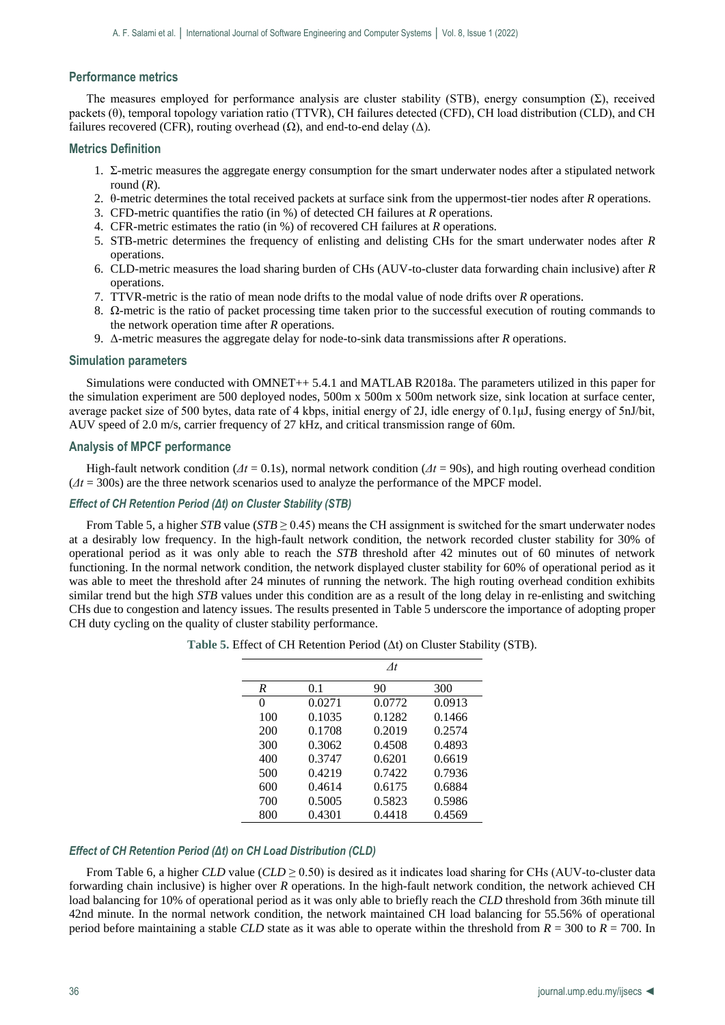## **Performance metrics**

The measures employed for performance analysis are cluster stability (STB), energy consumption  $(\Sigma)$ , received packets (θ), temporal topology variation ratio (TTVR), CH failures detected (CFD), CH load distribution (CLD), and CH failures recovered (CFR), routing overhead  $(\Omega)$ , and end-to-end delay  $(\Delta)$ .

#### **Metrics Definition**

- 1. Σ-metric measures the aggregate energy consumption for the smart underwater nodes after a stipulated network round (*R*).
- 2. θ-metric determines the total received packets at surface sink from the uppermost-tier nodes after *R* operations.
- 3. CFD-metric quantifies the ratio (in %) of detected CH failures at *R* operations.
- 4. CFR-metric estimates the ratio (in %) of recovered CH failures at *R* operations.
- 5. STB-metric determines the frequency of enlisting and delisting CHs for the smart underwater nodes after *R* operations.
- 6. CLD-metric measures the load sharing burden of CHs (AUV-to-cluster data forwarding chain inclusive) after *R* operations.
- 7. TTVR-metric is the ratio of mean node drifts to the modal value of node drifts over *R* operations.
- 8. Ω-metric is the ratio of packet processing time taken prior to the successful execution of routing commands to the network operation time after *R* operations.
- 9. Δ-metric measures the aggregate delay for node-to-sink data transmissions after *R* operations.

#### **Simulation parameters**

Simulations were conducted with OMNET++ 5.4.1 and MATLAB R2018a. The parameters utilized in this paper for the simulation experiment are 500 deployed nodes, 500m x 500m x 500m network size, sink location at surface center, average packet size of 500 bytes, data rate of 4 kbps, initial energy of 2J, idle energy of 0.1μJ, fusing energy of 5nJ/bit, AUV speed of 2.0 m/s, carrier frequency of 27 kHz, and critical transmission range of 60m.

#### **Analysis of MPCF performance**

High-fault network condition ( $\Delta t = 0.1$ s), normal network condition ( $\Delta t = 90$ s), and high routing overhead condition (*Δt* = 300s) are the three network scenarios used to analyze the performance of the MPCF model.

## *Effect of CH Retention Period (Δt) on Cluster Stability (STB)*

From Table 5, a higher *STB* value (*STB*  $\geq$  0.45) means the CH assignment is switched for the smart underwater nodes at a desirably low frequency. In the high-fault network condition, the network recorded cluster stability for 30% of operational period as it was only able to reach the *STB* threshold after 42 minutes out of 60 minutes of network functioning. In the normal network condition, the network displayed cluster stability for 60% of operational period as it was able to meet the threshold after 24 minutes of running the network. The high routing overhead condition exhibits similar trend but the high *STB* values under this condition are as a result of the long delay in re-enlisting and switching CHs due to congestion and latency issues. The results presented in Table 5 underscore the importance of adopting proper CH duty cycling on the quality of cluster stability performance.

|     |        | At     |        |
|-----|--------|--------|--------|
| R   | 0.1    | 90     | 300    |
| 0   | 0.0271 | 0.0772 | 0.0913 |
| 100 | 0.1035 | 0.1282 | 0.1466 |
| 200 | 0.1708 | 0.2019 | 0.2574 |
| 300 | 0.3062 | 0.4508 | 0.4893 |
| 400 | 0.3747 | 0.6201 | 0.6619 |
| 500 | 0.4219 | 0.7422 | 0.7936 |
| 600 | 0.4614 | 0.6175 | 0.6884 |
| 700 | 0.5005 | 0.5823 | 0.5986 |
| 800 | 0.4301 | 0.4418 | 0.4569 |

**Table 5.** Effect of CH Retention Period (Δt) on Cluster Stability (STB).

## *Effect of CH Retention Period (Δt) on CH Load Distribution (CLD)*

From Table 6, a higher *CLD* value (*CLD*  $\geq$  0.50) is desired as it indicates load sharing for CHs (AUV-to-cluster data forwarding chain inclusive) is higher over *R* operations. In the high-fault network condition, the network achieved CH load balancing for 10% of operational period as it was only able to briefly reach the *CLD* threshold from 36th minute till 42nd minute. In the normal network condition, the network maintained CH load balancing for 55.56% of operational period before maintaining a stable *CLD* state as it was able to operate within the threshold from *R* = 300 to *R* = 700. In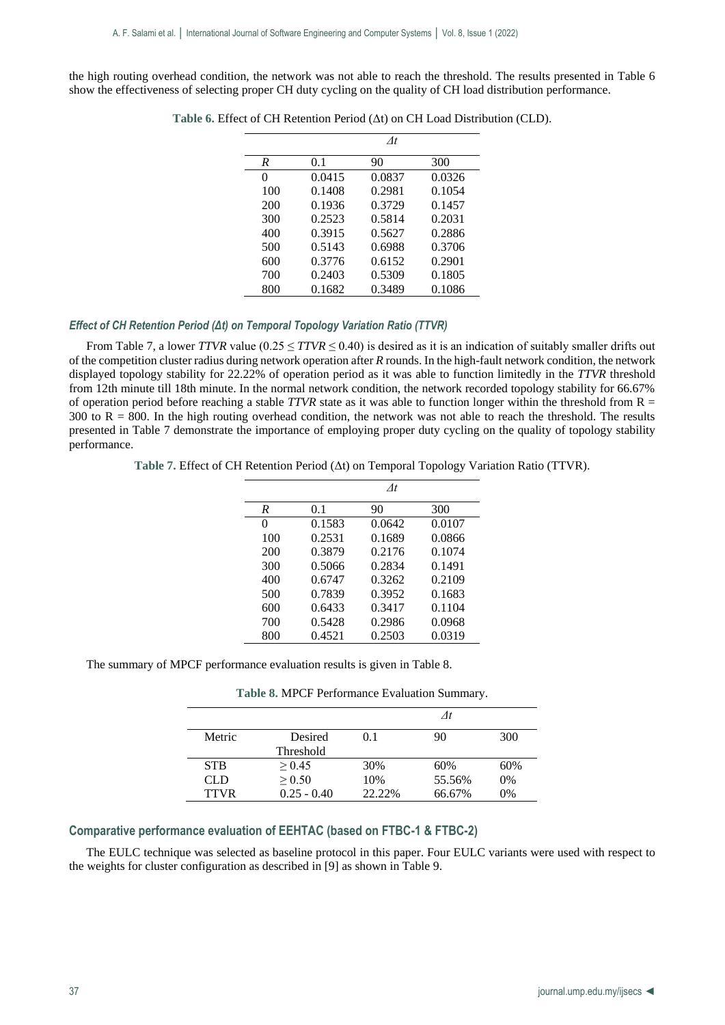the high routing overhead condition, the network was not able to reach the threshold. The results presented in Table 6 show the effectiveness of selecting proper CH duty cycling on the quality of CH load distribution performance.

|     |        | $\Lambda t$ |        |
|-----|--------|-------------|--------|
| R   | 0.1    | 90          | 300    |
| 0   | 0.0415 | 0.0837      | 0.0326 |
| 100 | 0.1408 | 0.2981      | 0.1054 |
| 200 | 0.1936 | 0.3729      | 0.1457 |
| 300 | 0.2523 | 0.5814      | 0.2031 |
| 400 | 0.3915 | 0.5627      | 0.2886 |
| 500 | 0.5143 | 0.6988      | 0.3706 |
| 600 | 0.3776 | 0.6152      | 0.2901 |
| 700 | 0.2403 | 0.5309      | 0.1805 |
| 800 | 0.1682 | 0.3489      | 0.1086 |

**Table 6.** Effect of CH Retention Period (Δt) on CH Load Distribution (CLD).

## *Effect of CH Retention Period (Δt) on Temporal Topology Variation Ratio (TTVR)*

From Table 7, a lower *TTVR* value ( $0.25 \leq TTVR \leq 0.40$ ) is desired as it is an indication of suitably smaller drifts out of the competition cluster radius during network operation after *R* rounds. In the high-fault network condition, the network displayed topology stability for 22.22% of operation period as it was able to function limitedly in the *TTVR* threshold from 12th minute till 18th minute. In the normal network condition, the network recorded topology stability for 66.67% of operation period before reaching a stable  $TTVR$  state as it was able to function longer within the threshold from  $R =$  $300$  to R = 800. In the high routing overhead condition, the network was not able to reach the threshold. The results presented in Table 7 demonstrate the importance of employing proper duty cycling on the quality of topology stability performance.

**Table 7.** Effect of CH Retention Period (Δt) on Temporal Topology Variation Ratio (TTVR).

|     |        | $\Lambda t$ |        |
|-----|--------|-------------|--------|
| R   | 0.1    | 90          | 300    |
| 0   | 0.1583 | 0.0642      | 0.0107 |
| 100 | 0.2531 | 0.1689      | 0.0866 |
| 200 | 0.3879 | 0.2176      | 0.1074 |
| 300 | 0.5066 | 0.2834      | 0.1491 |
| 400 | 0.6747 | 0.3262      | 0.2109 |
| 500 | 0.7839 | 0.3952      | 0.1683 |
| 600 | 0.6433 | 0.3417      | 0.1104 |
| 700 | 0.5428 | 0.2986      | 0.0968 |
| 800 | 0.4521 | 0.2503      | 0.0319 |

The summary of MPCF performance evaluation results is given in Table 8.

**Table 8.** MPCF Performance Evaluation Summary.

| Metric      | Desired          | 0.1    | 90     | 300   |
|-------------|------------------|--------|--------|-------|
|             | <b>Threshold</b> |        |        |       |
| <b>STB</b>  | > 0.45           | 30%    | 60%    | 60%   |
| CL D        | > 0.50           | 10%    | 55.56% | $0\%$ |
| <b>TTVR</b> | $0.25 - 0.40$    | 22.22% | 66.67% | $0\%$ |

## **Comparative performance evaluation of EEHTAC (based on FTBC-1 & FTBC-2)**

The EULC technique was selected as baseline protocol in this paper. Four EULC variants were used with respect to the weights for cluster configuration as described in [9] as shown in Table 9.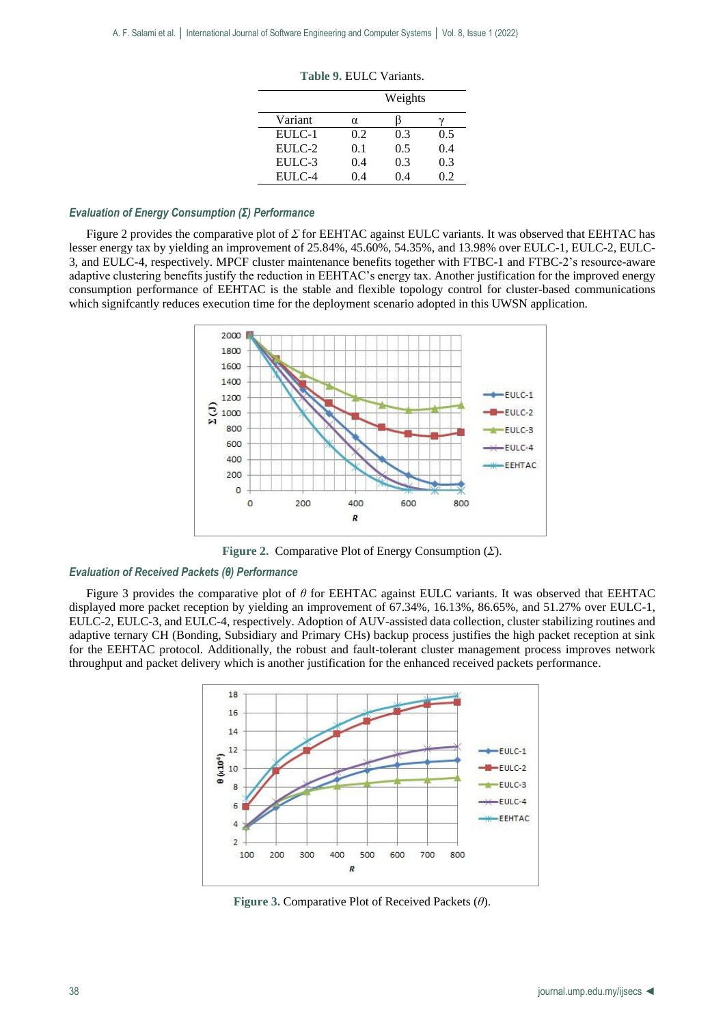|         | Weights |     |     |
|---------|---------|-----|-----|
| Variant | α       |     |     |
| EULC-1  | 0.2     | 0.3 | 0.5 |
| EULC-2  | 0.1     | 0.5 | 0.4 |
| EULC-3  | 0.4     | 0.3 | 0.3 |
| EULC-4  | 0.4     | 04  | 0.2 |

**Table 9.** EULC Variants.

### *Evaluation of Energy Consumption (Σ) Performance*

Figure 2 provides the comparative plot of *Σ* for EEHTAC against EULC variants. It was observed that EEHTAC has lesser energy tax by yielding an improvement of 25.84%, 45.60%, 54.35%, and 13.98% over EULC-1, EULC-2, EULC-3, and EULC-4, respectively. MPCF cluster maintenance benefits together with FTBC-1 and FTBC-2's resource-aware adaptive clustering benefits justify the reduction in EEHTAC's energy tax. Another justification for the improved energy consumption performance of EEHTAC is the stable and flexible topology control for cluster-based communications which significantly reduces execution time for the deployment scenario adopted in this UWSN application.



**Figure 2.** Comparative Plot of Energy Consumption (*Σ*).

#### *Evaluation of Received Packets (θ) Performance*

Figure 3 provides the comparative plot of *θ* for EEHTAC against EULC variants. It was observed that EEHTAC displayed more packet reception by yielding an improvement of 67.34%, 16.13%, 86.65%, and 51.27% over EULC-1, EULC-2, EULC-3, and EULC-4, respectively. Adoption of AUV-assisted data collection, cluster stabilizing routines and adaptive ternary CH (Bonding, Subsidiary and Primary CHs) backup process justifies the high packet reception at sink for the EEHTAC protocol. Additionally, the robust and fault-tolerant cluster management process improves network throughput and packet delivery which is another justification for the enhanced received packets performance.



**Figure 3.** Comparative Plot of Received Packets (*θ*).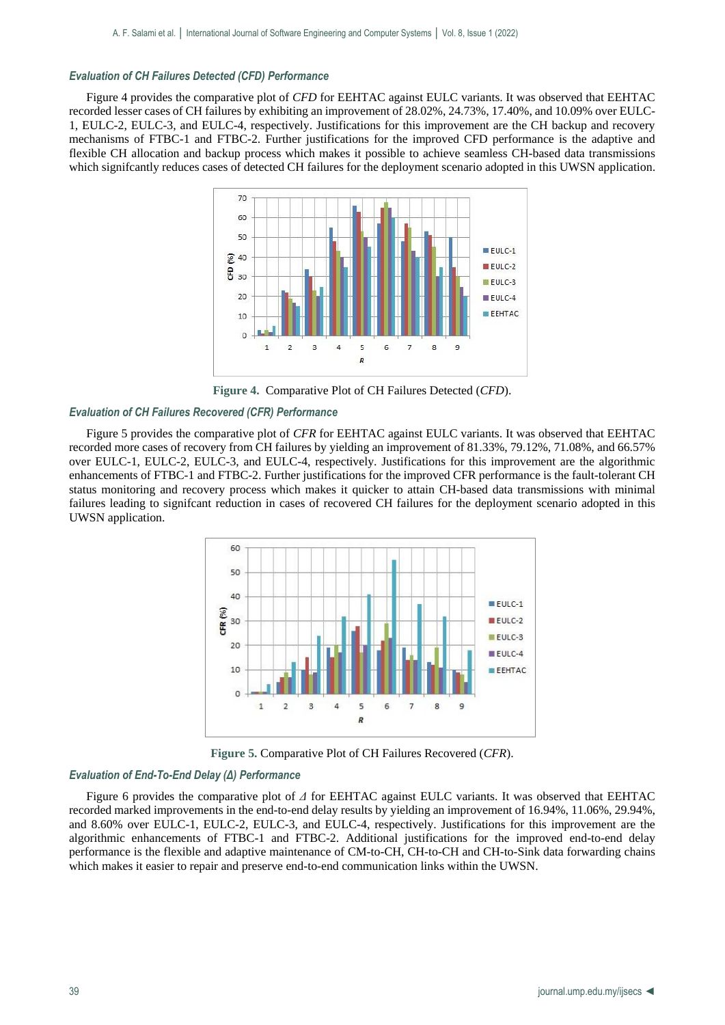## *Evaluation of CH Failures Detected (CFD) Performance*

Figure 4 provides the comparative plot of *CFD* for EEHTAC against EULC variants. It was observed that EEHTAC recorded lesser cases of CH failures by exhibiting an improvement of 28.02%, 24.73%, 17.40%, and 10.09% over EULC-1, EULC-2, EULC-3, and EULC-4, respectively. Justifications for this improvement are the CH backup and recovery mechanisms of FTBC-1 and FTBC-2. Further justifications for the improved CFD performance is the adaptive and flexible CH allocation and backup process which makes it possible to achieve seamless CH-based data transmissions which significantly reduces cases of detected CH failures for the deployment scenario adopted in this UWSN application.



**Figure 4.** Comparative Plot of CH Failures Detected (*CFD*).

### *Evaluation of CH Failures Recovered (CFR) Performance*

Figure 5 provides the comparative plot of *CFR* for EEHTAC against EULC variants. It was observed that EEHTAC recorded more cases of recovery from CH failures by yielding an improvement of 81.33%, 79.12%, 71.08%, and 66.57% over EULC-1, EULC-2, EULC-3, and EULC-4, respectively. Justifications for this improvement are the algorithmic enhancements of FTBC-1 and FTBC-2. Further justifications for the improved CFR performance is the fault-tolerant CH status monitoring and recovery process which makes it quicker to attain CH-based data transmissions with minimal failures leading to signifcant reduction in cases of recovered CH failures for the deployment scenario adopted in this UWSN application.



**Figure 5.** Comparative Plot of CH Failures Recovered (*CFR*).

### *Evaluation of End-To-End Delay (Δ) Performance*

Figure 6 provides the comparative plot of *Δ* for EEHTAC against EULC variants. It was observed that EEHTAC recorded marked improvements in the end-to-end delay results by yielding an improvement of 16.94%, 11.06%, 29.94%, and 8.60% over EULC-1, EULC-2, EULC-3, and EULC-4, respectively. Justifications for this improvement are the algorithmic enhancements of FTBC-1 and FTBC-2. Additional justifications for the improved end-to-end delay performance is the flexible and adaptive maintenance of CM-to-CH, CH-to-CH and CH-to-Sink data forwarding chains which makes it easier to repair and preserve end-to-end communication links within the UWSN.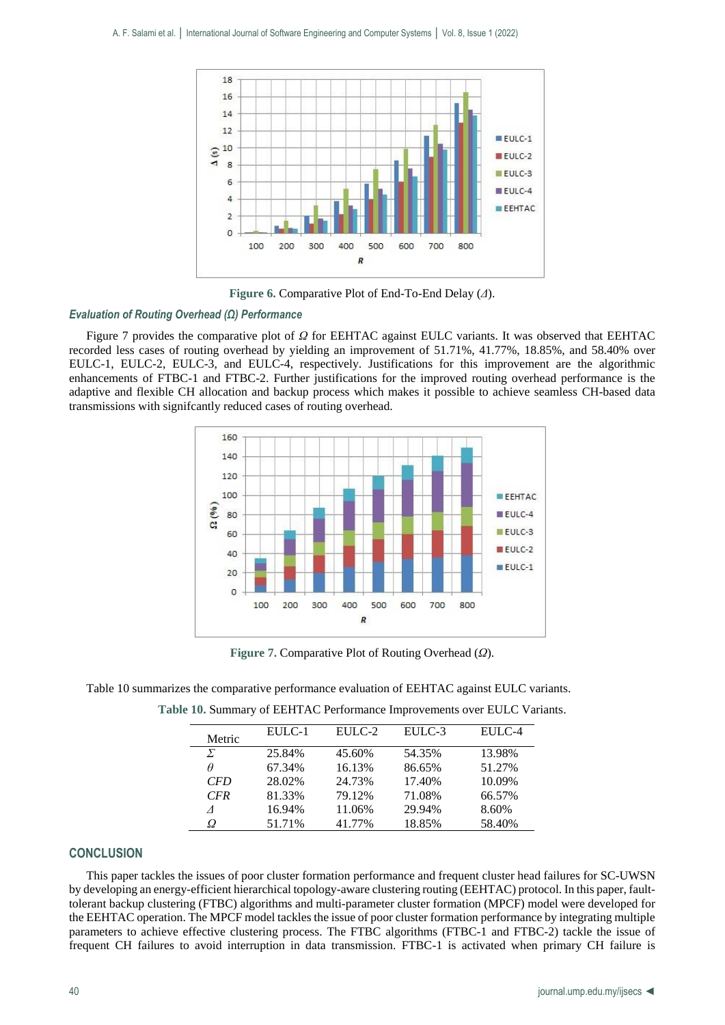

**Figure 6.** Comparative Plot of End-To-End Delay (*Δ*).

## *Evaluation of Routing Overhead (Ω) Performance*

Figure 7 provides the comparative plot of *Ω* for EEHTAC against EULC variants. It was observed that EEHTAC recorded less cases of routing overhead by yielding an improvement of 51.71%, 41.77%, 18.85%, and 58.40% over EULC-1, EULC-2, EULC-3, and EULC-4, respectively. Justifications for this improvement are the algorithmic enhancements of FTBC-1 and FTBC-2. Further justifications for the improved routing overhead performance is the adaptive and flexible CH allocation and backup process which makes it possible to achieve seamless CH-based data transmissions with signifcantly reduced cases of routing overhead.



**Figure 7.** Comparative Plot of Routing Overhead (*Ω*).

| Table 10 summarizes the comparative performance evaluation of EEHTAC against EULC variants. |
|---------------------------------------------------------------------------------------------|
|---------------------------------------------------------------------------------------------|

| Metric     | EULC-1 | EULC-2 | EULC-3 | EULC-4 |
|------------|--------|--------|--------|--------|
| Σ          | 25.84% | 45.60% | 54.35% | 13.98% |
| $\theta$   | 67.34% | 16.13% | 86.65% | 51.27% |
| <b>CFD</b> | 28.02% | 24.73% | 17.40% | 10.09% |
| <b>CFR</b> | 81.33% | 79.12% | 71.08% | 66.57% |
|            | 16.94% | 11.06% | 29.94% | 8.60%  |
| Ω          | 51.71% | 41.77% | 18.85% | 58.40% |

**Table 10.** Summary of EEHTAC Performance Improvements over EULC Variants.

### **CONCLUSION**

This paper tackles the issues of poor cluster formation performance and frequent cluster head failures for SC-UWSN by developing an energy-efficient hierarchical topology-aware clustering routing (EEHTAC) protocol. In this paper, faulttolerant backup clustering (FTBC) algorithms and multi-parameter cluster formation (MPCF) model were developed for the EEHTAC operation. The MPCF model tackles the issue of poor cluster formation performance by integrating multiple parameters to achieve effective clustering process. The FTBC algorithms (FTBC-1 and FTBC-2) tackle the issue of frequent CH failures to avoid interruption in data transmission. FTBC-1 is activated when primary CH failure is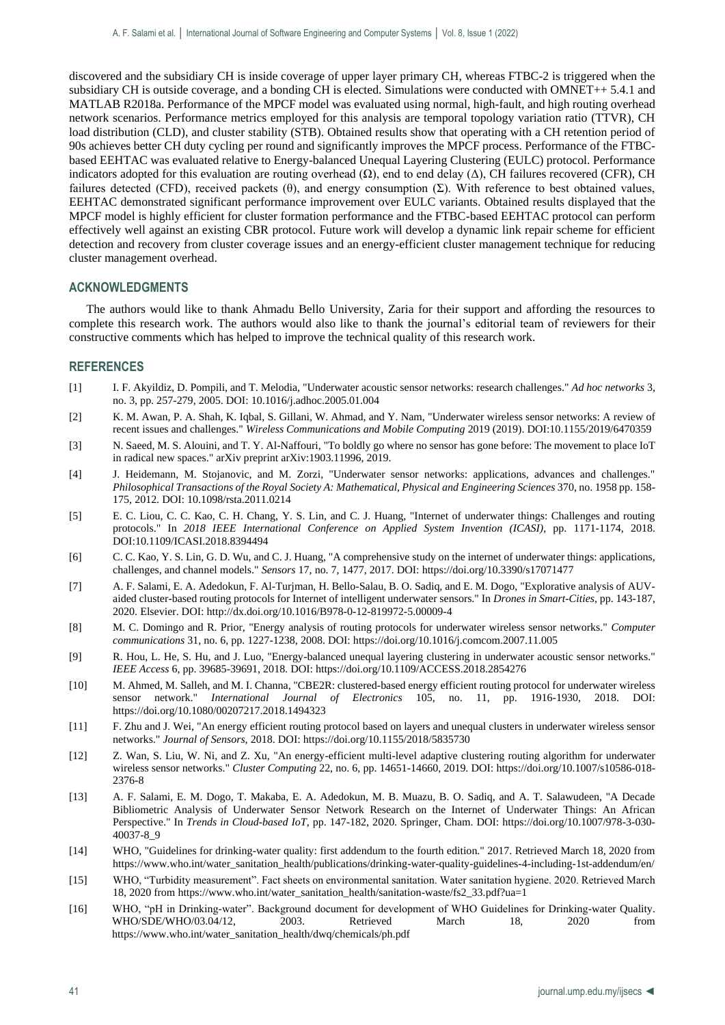discovered and the subsidiary CH is inside coverage of upper layer primary CH, whereas FTBC-2 is triggered when the subsidiary CH is outside coverage, and a bonding CH is elected. Simulations were conducted with OMNET++ 5.4.1 and MATLAB R2018a. Performance of the MPCF model was evaluated using normal, high-fault, and high routing overhead network scenarios. Performance metrics employed for this analysis are temporal topology variation ratio (TTVR), CH load distribution (CLD), and cluster stability (STB). Obtained results show that operating with a CH retention period of 90s achieves better CH duty cycling per round and significantly improves the MPCF process. Performance of the FTBCbased EEHTAC was evaluated relative to Energy-balanced Unequal Layering Clustering (EULC) protocol. Performance indicators adopted for this evaluation are routing overhead  $(Ω)$ , end to end delay  $(Δ)$ , CH failures recovered (CFR), CH failures detected (CFD), received packets (θ), and energy consumption (Σ). With reference to best obtained values, EEHTAC demonstrated significant performance improvement over EULC variants. Obtained results displayed that the MPCF model is highly efficient for cluster formation performance and the FTBC-based EEHTAC protocol can perform effectively well against an existing CBR protocol. Future work will develop a dynamic link repair scheme for efficient detection and recovery from cluster coverage issues and an energy-efficient cluster management technique for reducing cluster management overhead.

## **ACKNOWLEDGMENTS**

The authors would like to thank Ahmadu Bello University, Zaria for their support and affording the resources to complete this research work. The authors would also like to thank the journal's editorial team of reviewers for their constructive comments which has helped to improve the technical quality of this research work.

## **REFERENCES**

- [1] I. F. Akyildiz, D. Pompili, and T. Melodia, "Underwater acoustic sensor networks: research challenges." *Ad hoc networks* 3, no. 3, pp. 257-279, 2005. DOI: 10.1016/j.adhoc.2005.01.004
- [2] K. M. Awan, P. A. Shah, K. Iqbal, S. Gillani, W. Ahmad, and Y. Nam, "Underwater wireless sensor networks: A review of recent issues and challenges." *Wireless Communications and Mobile Computing* 2019 (2019). DOI:10.1155/2019/6470359
- [3] N. Saeed, M. S. Alouini, and T. Y. Al-Naffouri, "To boldly go where no sensor has gone before: The movement to place IoT in radical new spaces." arXiv preprint arXiv:1903.11996, 2019.
- [4] J. Heidemann, M. Stojanovic, and M. Zorzi, "Underwater sensor networks: applications, advances and challenges." *Philosophical Transactions of the Royal Society A: Mathematical, Physical and Engineering Sciences* 370, no. 1958 pp. 158- 175, 2012. DOI: 10.1098/rsta.2011.0214
- [5] E. C. Liou, C. C. Kao, C. H. Chang, Y. S. Lin, and C. J. Huang, "Internet of underwater things: Challenges and routing protocols." In *2018 IEEE International Conference on Applied System Invention (ICASI)*, pp. 1171-1174, 2018. DOI:10.1109/ICASI.2018.8394494
- [6] C. C. Kao, Y. S. Lin, G. D. Wu, and C. J. Huang, "A comprehensive study on the internet of underwater things: applications, challenges, and channel models." *Sensors* 17, no. 7, 1477, 2017. DOI: https://doi.org/10.3390/s17071477
- [7] A. F. Salami, E. A. Adedokun, F. Al-Turjman, H. Bello-Salau, B. O. Sadiq, and E. M. Dogo, "Explorative analysis of AUVaided cluster-based routing protocols for Internet of intelligent underwater sensors." In *Drones in Smart-Cities*, pp. 143-187, 2020. Elsevier. DOI: http://dx.doi.org/10.1016/B978-0-12-819972-5.00009-4
- [8] M. C. Domingo and R. Prior, "Energy analysis of routing protocols for underwater wireless sensor networks." *Computer communications* 31, no. 6, pp. 1227-1238, 2008. DOI: https://doi.org/10.1016/j.comcom.2007.11.005
- [9] R. Hou, L. He, S. Hu, and J. Luo, "Energy-balanced unequal layering clustering in underwater acoustic sensor networks." *IEEE Access* 6, pp. 39685-39691, 2018. DOI: https://doi.org/10.1109/ACCESS.2018.2854276
- [10] M. Ahmed, M. Salleh, and M. I. Channa, "CBE2R: clustered-based energy efficient routing protocol for underwater wireless sensor network." *International Journal of Electronics* 105, no. 11, pp. 1916-1930, 2018. DOI: https://doi.org/10.1080/00207217.2018.1494323
- [11] F. Zhu and J. Wei, "An energy efficient routing protocol based on layers and unequal clusters in underwater wireless sensor networks." *Journal of Sensors,* 2018. DOI: https://doi.org/10.1155/2018/5835730
- [12] Z. Wan, S. Liu, W. Ni, and Z. Xu, "An energy-efficient multi-level adaptive clustering routing algorithm for underwater wireless sensor networks." *Cluster Computing* 22, no. 6, pp. 14651-14660, 2019. DOI: https://doi.org/10.1007/s10586-018- 2376-8
- [13] A. F. Salami, E. M. Dogo, T. Makaba, E. A. Adedokun, M. B. Muazu, B. O. Sadiq, and A. T. Salawudeen, "A Decade Bibliometric Analysis of Underwater Sensor Network Research on the Internet of Underwater Things: An African Perspective." In *Trends in Cloud-based IoT*, pp. 147-182, 2020. Springer, Cham. DOI: https://doi.org/10.1007/978-3-030- 40037-8\_9
- [14] WHO, "Guidelines for drinking-water quality: first addendum to the fourth edition." 2017. Retrieved March 18, 2020 from https://www.who.int/water\_sanitation\_health/publications/drinking-water-quality-guidelines-4-including-1st-addendum/en/
- [15] WHO, "Turbidity measurement". Fact sheets on environmental sanitation. Water sanitation hygiene. 2020. Retrieved March 18, 2020 from https://www.who.int/water\_sanitation\_health/sanitation-waste/fs2\_33.pdf?ua=1
- [16] WHO, "pH in Drinking-water". Background document for development of WHO Guidelines for Drinking-water Quality. WHO/SDE/WHO/03.04/12, 2003. Retrieved March 18, 2020 from https://www.who.int/water\_sanitation\_health/dwq/chemicals/ph.pdf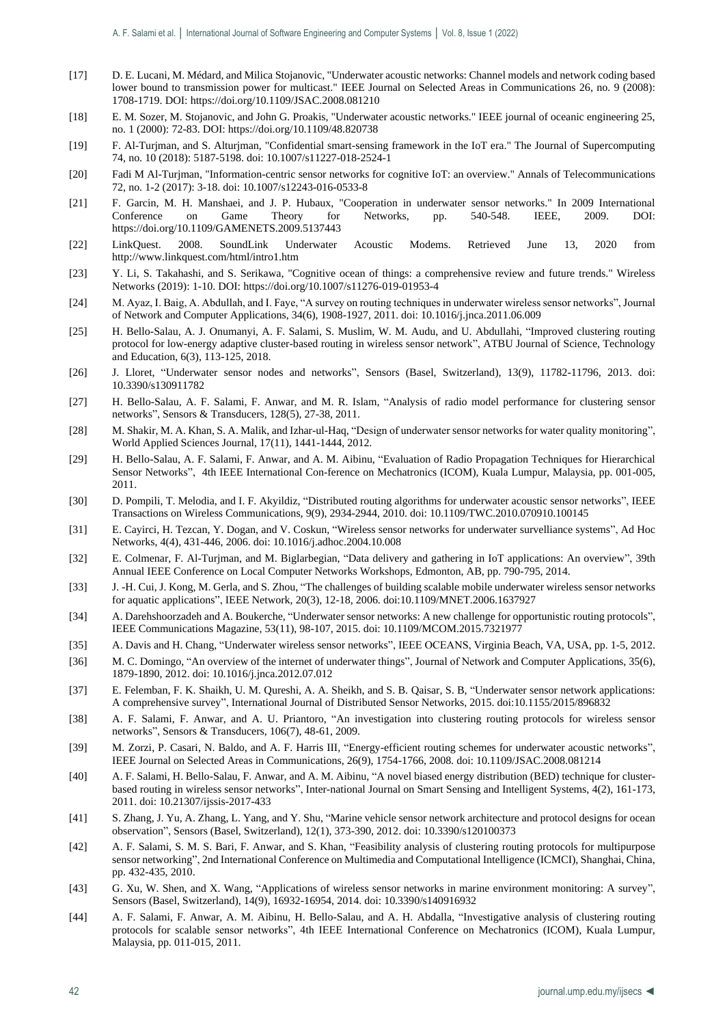- [17] D. E. Lucani, M. Médard, and Milica Stojanovic, "Underwater acoustic networks: Channel models and network coding based lower bound to transmission power for multicast." IEEE Journal on Selected Areas in Communications 26, no. 9 (2008): 1708-1719. DOI: https://doi.org/10.1109/JSAC.2008.081210
- [18] E. M. Sozer, M. Stojanovic, and John G. Proakis, "Underwater acoustic networks." IEEE journal of oceanic engineering 25, no. 1 (2000): 72-83. DOI: https://doi.org/10.1109/48.820738
- [19] F. Al-Turjman, and S. Alturjman, "Confidential smart-sensing framework in the IoT era." The Journal of Supercomputing 74, no. 10 (2018): 5187-5198. doi: 10.1007/s11227-018-2524-1
- [20] Fadi M Al-Turjman, "Information-centric sensor networks for cognitive IoT: an overview." Annals of Telecommunications 72, no. 1-2 (2017): 3-18. doi: 10.1007/s12243-016-0533-8
- [21] F. Garcin, M. H. Manshaei, and J. P. Hubaux, "Cooperation in underwater sensor networks." In 2009 International Conference on Game Theory for Networks, pp. 540-548. IEEE, 2009. DOI: https://doi.org/10.1109/GAMENETS.2009.5137443
- [22] LinkQuest. 2008. SoundLink Underwater Acoustic Modems. Retrieved June 13, 2020 from http://www.linkquest.com/html/intro1.htm
- [23] Y. Li, S. Takahashi, and S. Serikawa, "Cognitive ocean of things: a comprehensive review and future trends." Wireless Networks (2019): 1-10. DOI: https://doi.org/10.1007/s11276-019-01953-4
- [24] M. Ayaz, I. Baig, A. Abdullah, and I. Faye, "A survey on routing techniques in underwater wireless sensor networks", Journal of Network and Computer Applications, 34(6), 1908-1927, 2011. doi: 10.1016/j.jnca.2011.06.009
- [25] H. Bello-Salau, A. J. Onumanyi, A. F. Salami, S. Muslim, W. M. Audu, and U. Abdullahi, "Improved clustering routing protocol for low-energy adaptive cluster-based routing in wireless sensor network", ATBU Journal of Science, Technology and Education, 6(3), 113-125, 2018.
- [26] J. Lloret, "Underwater sensor nodes and networks", Sensors (Basel, Switzerland), 13(9), 11782-11796, 2013. doi: 10.3390/s130911782
- [27] H. Bello-Salau, A. F. Salami, F. Anwar, and M. R. Islam, "Analysis of radio model performance for clustering sensor networks", Sensors & Transducers, 128(5), 27-38, 2011.
- [28] M. Shakir, M. A. Khan, S. A. Malik, and Izhar-ul-Haq, "Design of underwater sensor networks for water quality monitoring", World Applied Sciences Journal, 17(11), 1441-1444, 2012.
- [29] H. Bello-Salau, A. F. Salami, F. Anwar, and A. M. Aibinu, "Evaluation of Radio Propagation Techniques for Hierarchical Sensor Networks", 4th IEEE International Con-ference on Mechatronics (ICOM), Kuala Lumpur, Malaysia, pp. 001-005, 2011.
- [30] D. Pompili, T. Melodia, and I. F. Akyildiz, "Distributed routing algorithms for underwater acoustic sensor networks", IEEE Transactions on Wireless Communications, 9(9), 2934-2944, 2010. doi: 10.1109/TWC.2010.070910.100145
- [31] E. Cayirci, H. Tezcan, Y. Dogan, and V. Coskun, "Wireless sensor networks for underwater survelliance systems", Ad Hoc Networks, 4(4), 431-446, 2006. doi: 10.1016/j.adhoc.2004.10.008
- [32] E. Colmenar, F. Al-Turjman, and M. Biglarbegian, "Data delivery and gathering in IoT applications: An overview", 39th Annual IEEE Conference on Local Computer Networks Workshops, Edmonton, AB, pp. 790-795, 2014.
- [33] J. -H. Cui, J. Kong, M. Gerla, and S. Zhou, "The challenges of building scalable mobile underwater wireless sensor networks for aquatic applications", IEEE Network, 20(3), 12-18, 2006. doi:10.1109/MNET.2006.1637927
- [34] A. Darehshoorzadeh and A. Boukerche, "Underwater sensor networks: A new challenge for opportunistic routing protocols", IEEE Communications Magazine, 53(11), 98-107, 2015. doi: 10.1109/MCOM.2015.7321977
- [35] A. Davis and H. Chang, "Underwater wireless sensor networks", IEEE OCEANS, Virginia Beach, VA, USA, pp. 1-5, 2012.
- [36] M. C. Domingo, "An overview of the internet of underwater things", Journal of Network and Computer Applications, 35(6), 1879-1890, 2012. doi: 10.1016/j.jnca.2012.07.012
- [37] E. Felemban, F. K. Shaikh, U. M. Qureshi, A. A. Sheikh, and S. B. Qaisar, S. B, "Underwater sensor network applications: A comprehensive survey", International Journal of Distributed Sensor Networks, 2015. doi:10.1155/2015/896832
- [38] A. F. Salami, F. Anwar, and A. U. Priantoro, "An investigation into clustering routing protocols for wireless sensor networks", Sensors & Transducers, 106(7), 48-61, 2009.
- [39] M. Zorzi, P. Casari, N. Baldo, and A. F. Harris III, "Energy-efficient routing schemes for underwater acoustic networks", IEEE Journal on Selected Areas in Communications, 26(9), 1754-1766, 2008. doi: 10.1109/JSAC.2008.081214
- [40] A. F. Salami, H. Bello-Salau, F. Anwar, and A. M. Aibinu, "A novel biased energy distribution (BED) technique for clusterbased routing in wireless sensor networks", Inter-national Journal on Smart Sensing and Intelligent Systems, 4(2), 161-173, 2011. doi: 10.21307/ijssis-2017-433
- [41] S. Zhang, J. Yu, A. Zhang, L. Yang, and Y. Shu, "Marine vehicle sensor network architecture and protocol designs for ocean observation", Sensors (Basel, Switzerland), 12(1), 373-390, 2012. doi: 10.3390/s120100373
- [42] A. F. Salami, S. M. S. Bari, F. Anwar, and S. Khan, "Feasibility analysis of clustering routing protocols for multipurpose sensor networking", 2nd International Conference on Multimedia and Computational Intelligence (ICMCI), Shanghai, China, pp. 432-435, 2010.
- [43] G. Xu, W. Shen, and X. Wang, "Applications of wireless sensor networks in marine environment monitoring: A survey", Sensors (Basel, Switzerland), 14(9), 16932-16954, 2014. doi: 10.3390/s140916932
- [44] A. F. Salami, F. Anwar, A. M. Aibinu, H. Bello-Salau, and A. H. Abdalla, "Investigative analysis of clustering routing protocols for scalable sensor networks", 4th IEEE International Conference on Mechatronics (ICOM), Kuala Lumpur, Malaysia, pp. 011-015, 2011.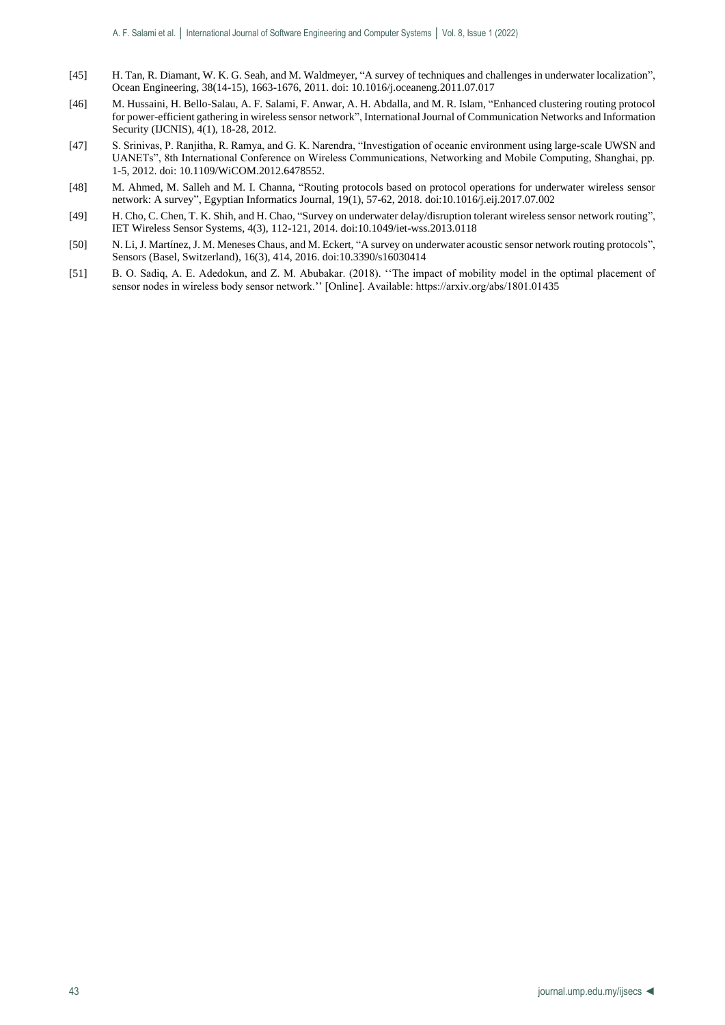- [45] H. Tan, R. Diamant, W. K. G. Seah, and M. Waldmeyer, "A survey of techniques and challenges in underwater localization", Ocean Engineering, 38(14-15), 1663-1676, 2011. doi: 10.1016/j.oceaneng.2011.07.017
- [46] M. Hussaini, H. Bello-Salau, A. F. Salami, F. Anwar, A. H. Abdalla, and M. R. Islam, "Enhanced clustering routing protocol for power-efficient gathering in wireless sensor network", International Journal of Communication Networks and Information Security (IJCNIS), 4(1), 18-28, 2012.
- [47] S. Srinivas, P. Ranjitha, R. Ramya, and G. K. Narendra, "Investigation of oceanic environment using large-scale UWSN and UANETs", 8th International Conference on Wireless Communications, Networking and Mobile Computing, Shanghai, pp. 1-5, 2012. doi: 10.1109/WiCOM.2012.6478552.
- [48] M. Ahmed, M. Salleh and M. I. Channa, "Routing protocols based on protocol operations for underwater wireless sensor network: A survey", Egyptian Informatics Journal, 19(1), 57-62, 2018. doi:10.1016/j.eij.2017.07.002
- [49] H. Cho, C. Chen, T. K. Shih, and H. Chao, "Survey on underwater delay/disruption tolerant wireless sensor network routing", IET Wireless Sensor Systems, 4(3), 112-121, 2014. doi:10.1049/iet-wss.2013.0118
- [50] N. Li, J. Martínez, J. M. Meneses Chaus, and M. Eckert, "A survey on underwater acoustic sensor network routing protocols", Sensors (Basel, Switzerland), 16(3), 414, 2016. doi:10.3390/s16030414
- [51] B. O. Sadiq, A. E. Adedokun, and Z. M. Abubakar. (2018). "The impact of mobility model in the optimal placement of sensor nodes in wireless body sensor network.'' [Online]. Available: https://arxiv.org/abs/1801.01435